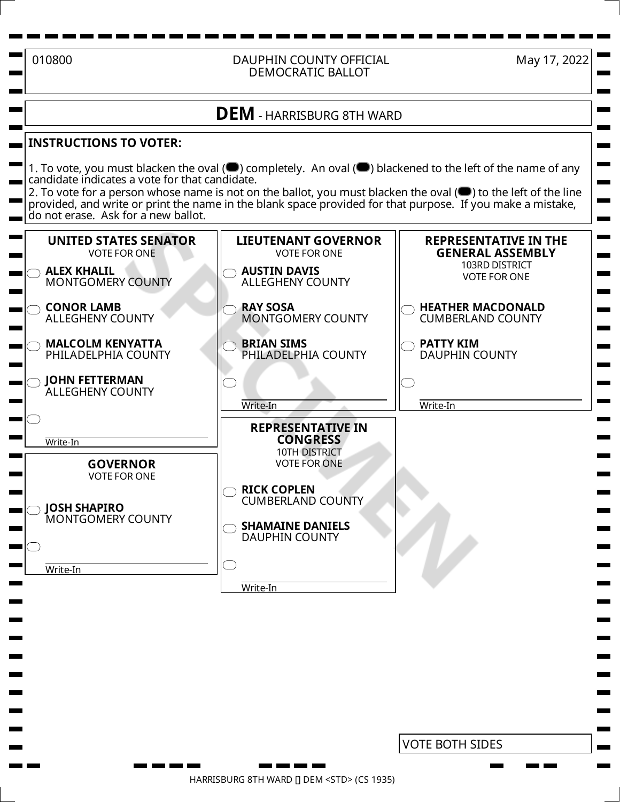## 010800 DAUPHIN COUNTY OFFICIAL DEMOCRATIC BALLOT

## **DEM** - HARRISBURG 8TH WARD

## **INSTRUCTIONS TO VOTER:**

1. To vote, you must blacken the oval ( $\blacksquare$ ) completely. An oval ( $\blacksquare$ ) blackened to the left of the name of any candidate indicates a vote for that candidate.

2. To vote for a person whose name is not on the ballot, you must blacken the oval  $($ **)** to the left of the line provided, and write or print the name in the blank space provided for that purpose. If you make a mistake, do not erase. Ask for a new ballot.